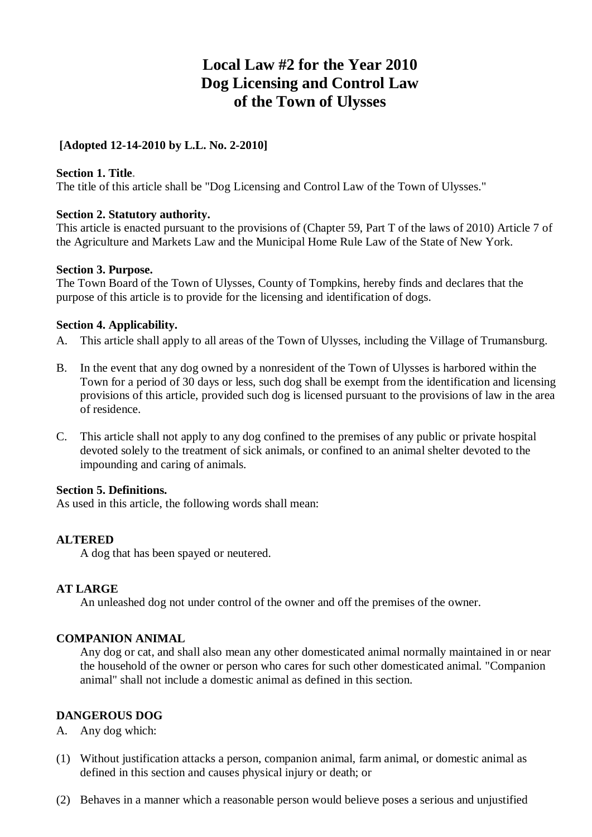# **Local Law #2 for the Year 2010 Dog Licensing and Control Law of the Town of Ulysses**

# **[Adopted 12-14-2010 by L.L. No. 2-2010]**

# **Section 1. Title.**

The title of this article shall be "Dog Licensing and Control Law of the Town of Ulysses."

# **Section 2. Statutory authority.**

This article is enacted pursuant to the provisions of (Chapter 59, Part T of the laws of 2010) Article 7 of the Agriculture and Markets Law and the Municipal Home Rule Law of the State of New York.

# **Section 3. Purpose.**

The Town Board of the Town of Ulysses, County of Tompkins, hereby finds and declares that the purpose of this article is to provide for the licensing and identification of dogs.

# **Section 4. Applicability.**

- A. This article shall apply to all areas of the Town of Ulysses, including the Village of Trumansburg.
- B. In the event that any dog owned by a nonresident of the Town of Ulysses is harbored within the Town for a period of 30 days or less, such dog shall be exempt from the identification and licensing provisions of this article, provided such dog is licensed pursuant to the provisions of law in the area of residence.
- C. This article shall not apply to any dog confined to the premises of any public or private hospital devoted solely to the treatment of sick animals, or confined to an animal shelter devoted to the impounding and caring of animals.

# **Section 5. Definitions.**

As used in this article, the following words shall mean:

# **ALTERED**

A dog that has been spayed or neutered.

# **AT LARGE**

An unleashed dog not under control of the owner and off the premises of the owner.

# **COMPANION ANIMAL**

Any dog or cat, and shall also mean any other domesticated animal normally maintained in or near the household of the owner or person who cares for such other domesticated animal. "Companion animal" shall not include a domestic animal as defined in this section.

# **DANGEROUS DOG**

# A. Any dog which:

- (1) Without justification attacks a person, companion animal, farm animal, or domestic animal as defined in this section and causes physical injury or death; or
- (2) Behaves in a manner which a reasonable person would believe poses a serious and unjustified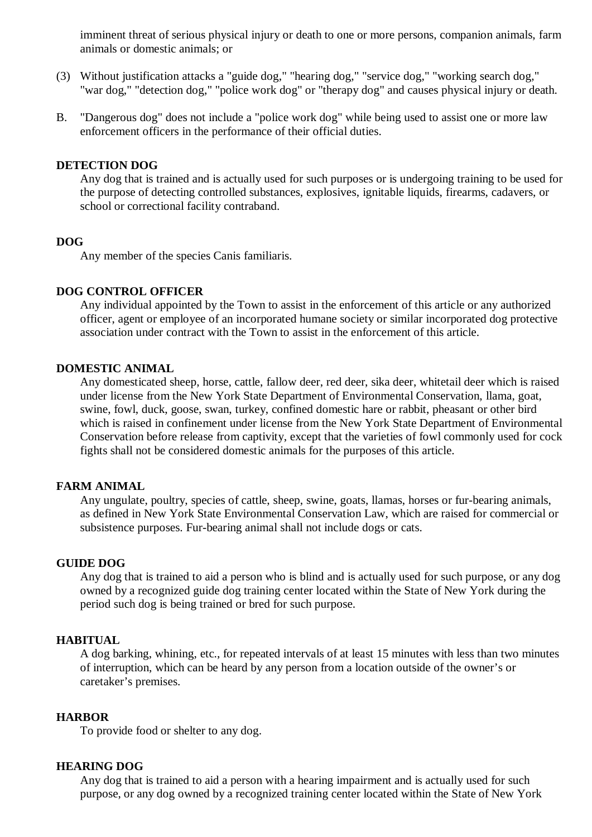imminent threat of serious physical injury or death to one or more persons, companion animals, farm animals or domestic animals; or

- (3) Without justification attacks a "guide dog," "hearing dog," "service dog," "working search dog," "war dog," "detection dog," "police work dog" or "therapy dog" and causes physical injury or death.
- B. "Dangerous dog" does not include a "police work dog" while being used to assist one or more law enforcement officers in the performance of their official duties.

#### **DETECTION DOG**

Any dog that is trained and is actually used for such purposes or is undergoing training to be used for the purpose of detecting controlled substances, explosives, ignitable liquids, firearms, cadavers, or school or correctional facility contraband.

#### **DOG**

Any member of the species Canis familiaris.

# **DOG CONTROL OFFICER**

Any individual appointed by the Town to assist in the enforcement of this article or any authorized officer, agent or employee of an incorporated humane society or similar incorporated dog protective association under contract with the Town to assist in the enforcement of this article.

### **DOMESTIC ANIMAL**

Any domesticated sheep, horse, cattle, fallow deer, red deer, sika deer, whitetail deer which is raised under license from the New York State Department of Environmental Conservation, llama, goat, swine, fowl, duck, goose, swan, turkey, confined domestic hare or rabbit, pheasant or other bird which is raised in confinement under license from the New York State Department of Environmental Conservation before release from captivity, except that the varieties of fowl commonly used for cock fights shall not be considered domestic animals for the purposes of this article.

### **FARM ANIMAL**

Any ungulate, poultry, species of cattle, sheep, swine, goats, llamas, horses or fur-bearing animals, as defined in New York State Environmental Conservation Law, which are raised for commercial or subsistence purposes. Fur-bearing animal shall not include dogs or cats.

# **GUIDE DOG**

Any dog that is trained to aid a person who is blind and is actually used for such purpose, or any dog owned by a recognized guide dog training center located within the State of New York during the period such dog is being trained or bred for such purpose.

#### **HABITUAL**

A dog barking, whining, etc., for repeated intervals of at least 15 minutes with less than two minutes of interruption, which can be heard by any person from a location outside of the owner's or caretaker's premises.

#### **HARBOR**

To provide food or shelter to any dog.

### **HEARING DOG**

Any dog that is trained to aid a person with a hearing impairment and is actually used for such purpose, or any dog owned by a recognized training center located within the State of New York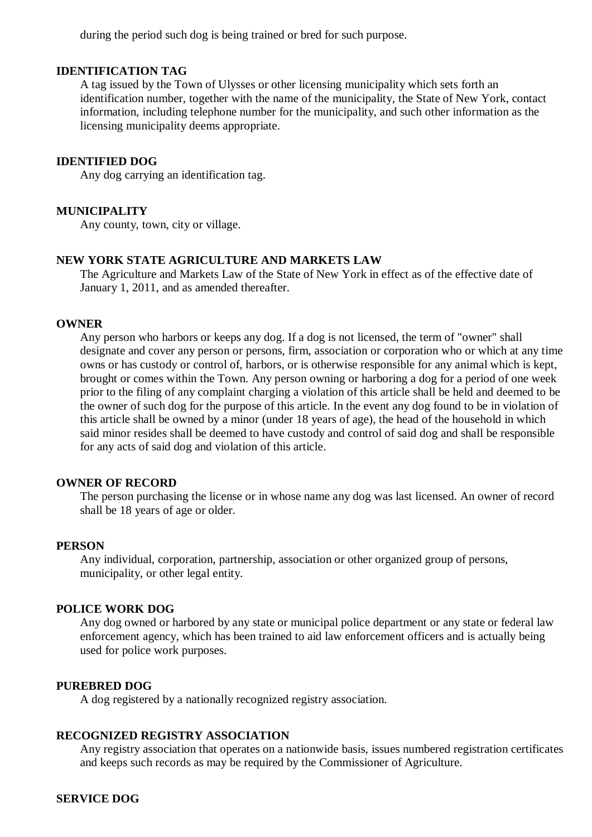during the period such dog is being trained or bred for such purpose.

### **IDENTIFICATION TAG**

A tag issued by the Town of Ulysses or other licensing municipality which sets forth an identification number, together with the name of the municipality, the State of New York, contact information, including telephone number for the municipality, and such other information as the licensing municipality deems appropriate.

### **IDENTIFIED DOG**

Any dog carrying an identification tag.

#### **MUNICIPALITY**

Any county, town, city or village.

# **NEW YORK STATE AGRICULTURE AND MARKETS LAW**

The Agriculture and Markets Law of the State of New York in effect as of the effective date of January 1, 2011, and as amended thereafter.

### **OWNER**

Any person who harbors or keeps any dog. If a dog is not licensed, the term of "owner" shall designate and cover any person or persons, firm, association or corporation who or which at any time owns or has custody or control of, harbors, or is otherwise responsible for any animal which is kept, brought or comes within the Town. Any person owning or harboring a dog for a period of one week prior to the filing of any complaint charging a violation of this article shall be held and deemed to be the owner of such dog for the purpose of this article. In the event any dog found to be in violation of this article shall be owned by a minor (under 18 years of age), the head of the household in which said minor resides shall be deemed to have custody and control of said dog and shall be responsible for any acts of said dog and violation of this article.

#### **OWNER OF RECORD**

The person purchasing the license or in whose name any dog was last licensed. An owner of record shall be 18 years of age or older.

#### **PERSON**

Any individual, corporation, partnership, association or other organized group of persons, municipality, or other legal entity.

#### **POLICE WORK DOG**

Any dog owned or harbored by any state or municipal police department or any state or federal law enforcement agency, which has been trained to aid law enforcement officers and is actually being used for police work purposes.

#### **PUREBRED DOG**

A dog registered by a nationally recognized registry association.

#### **RECOGNIZED REGISTRY ASSOCIATION**

Any registry association that operates on a nationwide basis, issues numbered registration certificates and keeps such records as may be required by the Commissioner of Agriculture.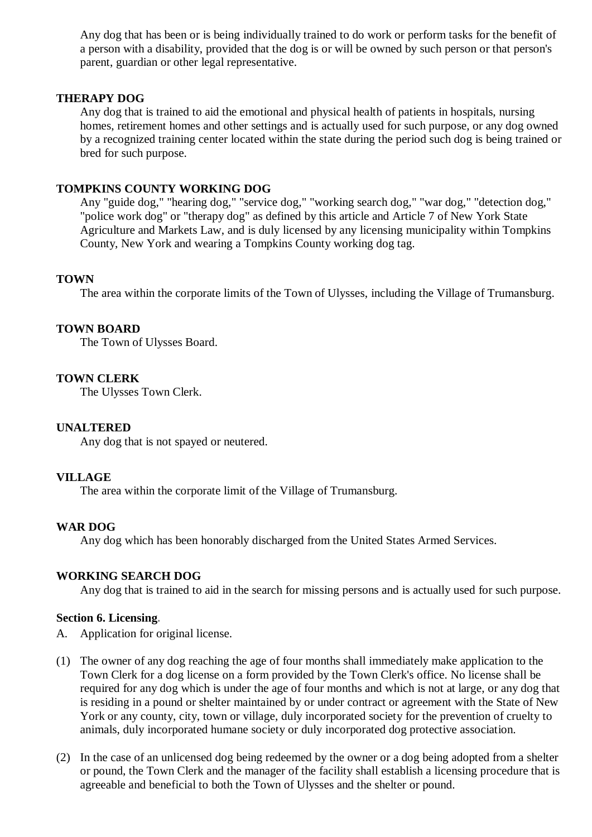Any dog that has been or is being individually trained to do work or perform tasks for the benefit of a person with a disability, provided that the dog is or will be owned by such person or that person's parent, guardian or other legal representative.

# **THERAPY DOG**

Any dog that is trained to aid the emotional and physical health of patients in hospitals, nursing homes, retirement homes and other settings and is actually used for such purpose, or any dog owned by a recognized training center located within the state during the period such dog is being trained or bred for such purpose.

### **TOMPKINS COUNTY WORKING DOG**

Any "guide dog," "hearing dog," "service dog," "working search dog," "war dog," "detection dog," "police work dog" or "therapy dog" as defined by this article and Article 7 of New York State Agriculture and Markets Law, and is duly licensed by any licensing municipality within Tompkins County, New York and wearing a Tompkins County working dog tag.

### **TOWN**

The area within the corporate limits of the Town of Ulysses, including the Village of Trumansburg.

### **TOWN BOARD**

The Town of Ulysses Board.

### **TOWN CLERK**

The Ulysses Town Clerk.

#### **UNALTERED**

Any dog that is not spayed or neutered.

# **VILLAGE**

The area within the corporate limit of the Village of Trumansburg.

#### **WAR DOG**

Any dog which has been honorably discharged from the United States Armed Services.

#### **WORKING SEARCH DOG**

Any dog that is trained to aid in the search for missing persons and is actually used for such purpose.

### **Section 6. Licensing.**

- A. Application for original license.
- (1) The owner of any dog reaching the age of four months shall immediately make application to the Town Clerk for a dog license on a form provided by the Town Clerk's office. No license shall be required for any dog which is under the age of four months and which is not at large, or any dog that is residing in a pound or shelter maintained by or under contract or agreement with the State of New York or any county, city, town or village, duly incorporated society for the prevention of cruelty to animals, duly incorporated humane society or duly incorporated dog protective association.
- (2) In the case of an unlicensed dog being redeemed by the owner or a dog being adopted from a shelter or pound, the Town Clerk and the manager of the facility shall establish a licensing procedure that is agreeable and beneficial to both the Town of Ulysses and the shelter or pound.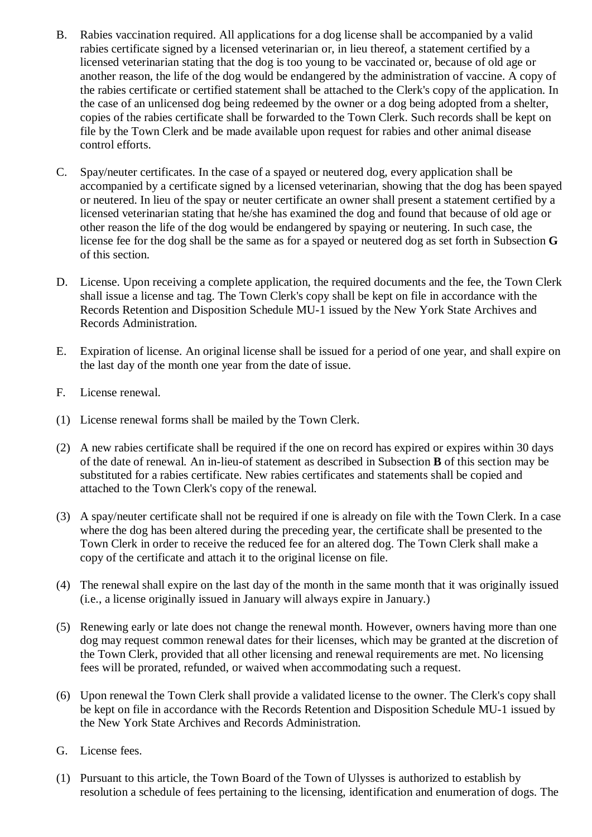- B. Rabies vaccination required. All applications for a dog license shall be accompanied by a valid rabies certificate signed by a licensed veterinarian or, in lieu thereof, a statement certified by a licensed veterinarian stating that the dog is too young to be vaccinated or, because of old age or another reason, the life of the dog would be endangered by the administration of vaccine. A copy of the rabies certificate or certified statement shall be attached to the Clerk's copy of the application. In the case of an unlicensed dog being redeemed by the owner or a dog being adopted from a shelter, copies of the rabies certificate shall be forwarded to the Town Clerk. Such records shall be kept on file by the Town Clerk and be made available upon request for rabies and other animal disease control efforts.
- C. Spay/neuter certificates. In the case of a spayed or neutered dog, every application shall be accompanied by a certificate signed by a licensed veterinarian, showing that the dog has been spayed or neutered. In lieu of the spay or neuter certificate an owner shall present a statement certified by a licensed veterinarian stating that he/she has examined the dog and found that because of old age or other reason the life of the dog would be endangered by spaying or neutering. In such case, the license fee for the dog shall be the same as for a spayed or neutered dog as set forth in Subsection **G** of this section.
- D. License. Upon receiving a complete application, the required documents and the fee, the Town Clerk shall issue a license and tag. The Town Clerk's copy shall be kept on file in accordance with the Records Retention and Disposition Schedule MU-1 issued by the New York State Archives and Records Administration.
- E. Expiration of license. An original license shall be issued for a period of one year, and shall expire on the last day of the month one year from the date of issue.
- F. License renewal.
- (1) License renewal forms shall be mailed by the Town Clerk.
- (2) A new rabies certificate shall be required if the one on record has expired or expires within 30 days of the date of renewal. An in-lieu-of statement as described in Subsection **B** of this section may be substituted for a rabies certificate. New rabies certificates and statements shall be copied and attached to the Town Clerk's copy of the renewal.
- (3) A spay/neuter certificate shall not be required if one is already on file with the Town Clerk. In a case where the dog has been altered during the preceding year, the certificate shall be presented to the Town Clerk in order to receive the reduced fee for an altered dog. The Town Clerk shall make a copy of the certificate and attach it to the original license on file.
- (4) The renewal shall expire on the last day of the month in the same month that it was originally issued (i.e., a license originally issued in January will always expire in January.)
- (5) Renewing early or late does not change the renewal month. However, owners having more than one dog may request common renewal dates for their licenses, which may be granted at the discretion of the Town Clerk, provided that all other licensing and renewal requirements are met. No licensing fees will be prorated, refunded, or waived when accommodating such a request.
- (6) Upon renewal the Town Clerk shall provide a validated license to the owner. The Clerk's copy shall be kept on file in accordance with the Records Retention and Disposition Schedule MU-1 issued by the New York State Archives and Records Administration.
- G. License fees.
- (1) Pursuant to this article, the Town Board of the Town of Ulysses is authorized to establish by resolution a schedule of fees pertaining to the licensing, identification and enumeration of dogs. The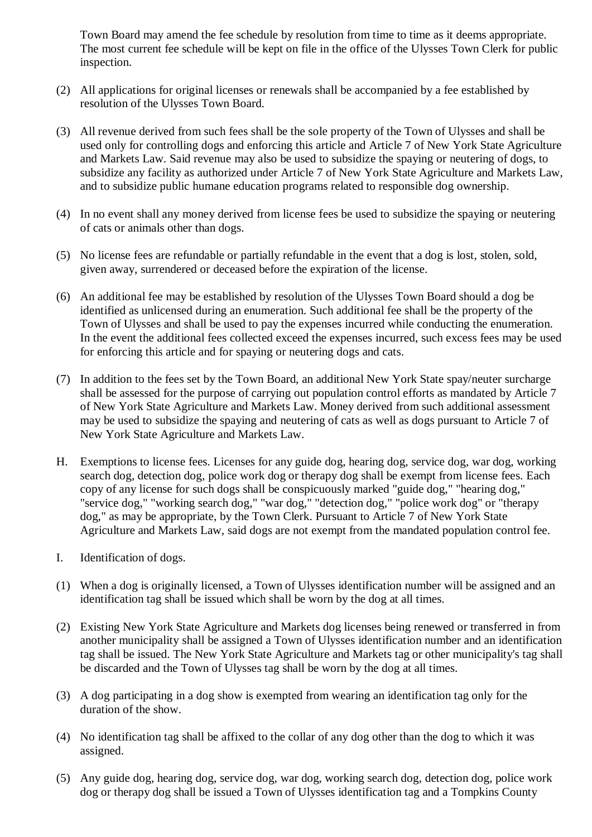Town Board may amend the fee schedule by resolution from time to time as it deems appropriate. The most current fee schedule will be kept on file in the office of the Ulysses Town Clerk for public inspection.

- (2) All applications for original licenses or renewals shall be accompanied by a fee established by resolution of the Ulysses Town Board.
- (3) All revenue derived from such fees shall be the sole property of the Town of Ulysses and shall be used only for controlling dogs and enforcing this article and Article 7 of New York State Agriculture and Markets Law. Said revenue may also be used to subsidize the spaying or neutering of dogs, to subsidize any facility as authorized under Article 7 of New York State Agriculture and Markets Law, and to subsidize public humane education programs related to responsible dog ownership.
- (4) In no event shall any money derived from license fees be used to subsidize the spaying or neutering of cats or animals other than dogs.
- (5) No license fees are refundable or partially refundable in the event that a dog is lost, stolen, sold, given away, surrendered or deceased before the expiration of the license.
- (6) An additional fee may be established by resolution of the Ulysses Town Board should a dog be identified as unlicensed during an enumeration. Such additional fee shall be the property of the Town of Ulysses and shall be used to pay the expenses incurred while conducting the enumeration. In the event the additional fees collected exceed the expenses incurred, such excess fees may be used for enforcing this article and for spaying or neutering dogs and cats.
- (7) In addition to the fees set by the Town Board, an additional New York State spay/neuter surcharge shall be assessed for the purpose of carrying out population control efforts as mandated by Article 7 of New York State Agriculture and Markets Law. Money derived from such additional assessment may be used to subsidize the spaying and neutering of cats as well as dogs pursuant to Article 7 of New York State Agriculture and Markets Law.
- H. Exemptions to license fees. Licenses for any guide dog, hearing dog, service dog, war dog, working search dog, detection dog, police work dog or therapy dog shall be exempt from license fees. Each copy of any license for such dogs shall be conspicuously marked "guide dog," "hearing dog," "service dog," "working search dog," "war dog," "detection dog," "police work dog" or "therapy dog," as may be appropriate, by the Town Clerk. Pursuant to Article 7 of New York State Agriculture and Markets Law, said dogs are not exempt from the mandated population control fee.
- I. Identification of dogs.
- (1) When a dog is originally licensed, a Town of Ulysses identification number will be assigned and an identification tag shall be issued which shall be worn by the dog at all times.
- (2) Existing New York State Agriculture and Markets dog licenses being renewed or transferred in from another municipality shall be assigned a Town of Ulysses identification number and an identification tag shall be issued. The New York State Agriculture and Markets tag or other municipality's tag shall be discarded and the Town of Ulysses tag shall be worn by the dog at all times.
- (3) A dog participating in a dog show is exempted from wearing an identification tag only for the duration of the show.
- (4) No identification tag shall be affixed to the collar of any dog other than the dog to which it was assigned.
- (5) Any guide dog, hearing dog, service dog, war dog, working search dog, detection dog, police work dog or therapy dog shall be issued a Town of Ulysses identification tag and a Tompkins County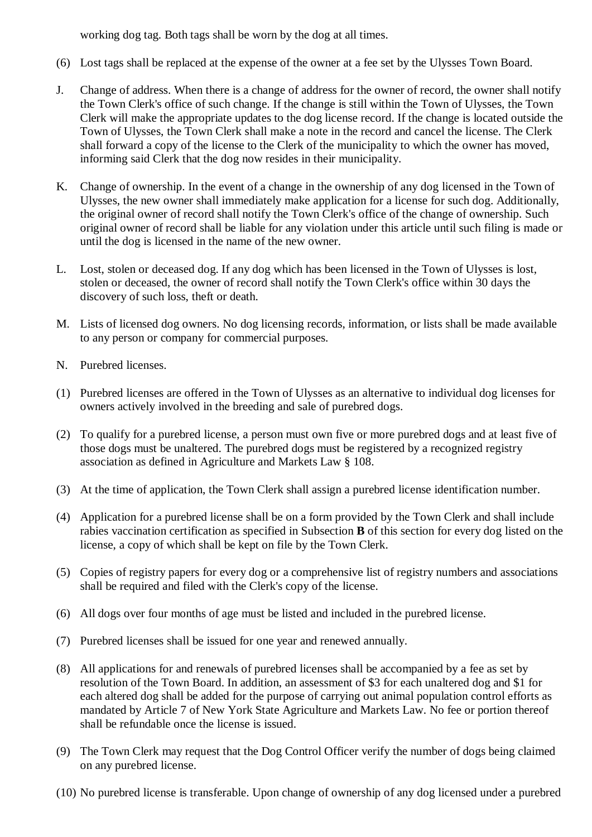working dog tag. Both tags shall be worn by the dog at all times.

- (6) Lost tags shall be replaced at the expense of the owner at a fee set by the Ulysses Town Board.
- J. Change of address. When there is a change of address for the owner of record, the owner shall notify the Town Clerk's office of such change. If the change is still within the Town of Ulysses, the Town Clerk will make the appropriate updates to the dog license record. If the change is located outside the Town of Ulysses, the Town Clerk shall make a note in the record and cancel the license. The Clerk shall forward a copy of the license to the Clerk of the municipality to which the owner has moved, informing said Clerk that the dog now resides in their municipality.
- K. Change of ownership. In the event of a change in the ownership of any dog licensed in the Town of Ulysses, the new owner shall immediately make application for a license for such dog. Additionally, the original owner of record shall notify the Town Clerk's office of the change of ownership. Such original owner of record shall be liable for any violation under this article until such filing is made or until the dog is licensed in the name of the new owner.
- L. Lost, stolen or deceased dog. If any dog which has been licensed in the Town of Ulysses is lost, stolen or deceased, the owner of record shall notify the Town Clerk's office within 30 days the discovery of such loss, theft or death.
- M. Lists of licensed dog owners. No dog licensing records, information, or lists shall be made available to any person or company for commercial purposes.
- N. Purebred licenses.
- (1) Purebred licenses are offered in the Town of Ulysses as an alternative to individual dog licenses for owners actively involved in the breeding and sale of purebred dogs.
- (2) To qualify for a purebred license, a person must own five or more purebred dogs and at least five of those dogs must be unaltered. The purebred dogs must be registered by a recognized registry association as defined in Agriculture and Markets Law § 108.
- (3) At the time of application, the Town Clerk shall assign a purebred license identification number.
- (4) Application for a purebred license shall be on a form provided by the Town Clerk and shall include rabies vaccination certification as specified in Subsection **B** of this section for every dog listed on the license, a copy of which shall be kept on file by the Town Clerk.
- (5) Copies of registry papers for every dog or a comprehensive list of registry numbers and associations shall be required and filed with the Clerk's copy of the license.
- (6) All dogs over four months of age must be listed and included in the purebred license.
- (7) Purebred licenses shall be issued for one year and renewed annually.
- (8) All applications for and renewals of purebred licenses shall be accompanied by a fee as set by resolution of the Town Board. In addition, an assessment of \$3 for each unaltered dog and \$1 for each altered dog shall be added for the purpose of carrying out animal population control efforts as mandated by Article 7 of New York State Agriculture and Markets Law. No fee or portion thereof shall be refundable once the license is issued.
- (9) The Town Clerk may request that the Dog Control Officer verify the number of dogs being claimed on any purebred license.
- (10) No purebred license is transferable. Upon change of ownership of any dog licensed under a purebred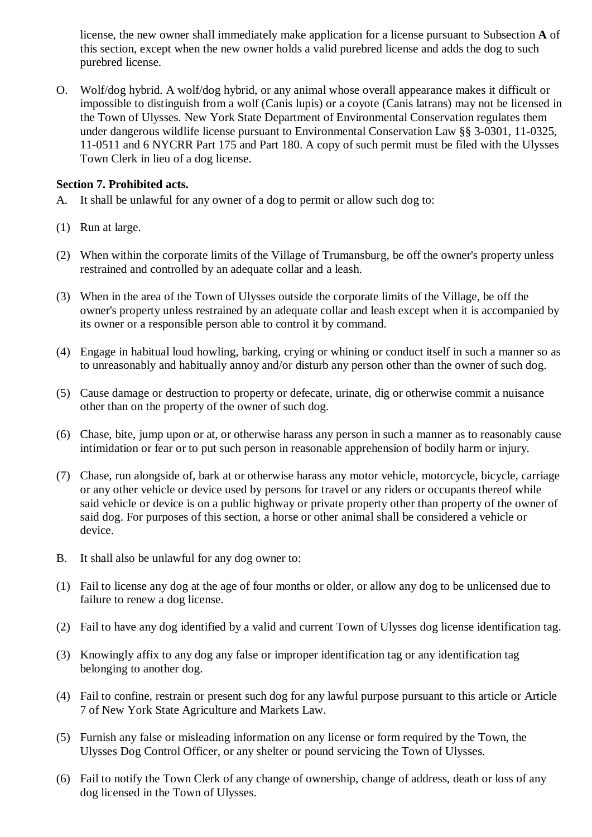license, the new owner shall immediately make application for a license pursuant to Subsection **A** of this section, except when the new owner holds a valid purebred license and adds the dog to such purebred license.

O. Wolf/dog hybrid. A wolf/dog hybrid, or any animal whose overall appearance makes it difficult or impossible to distinguish from a wolf (Canis lupis) or a coyote (Canis latrans) may not be licensed in the Town of Ulysses. New York State Department of Environmental Conservation regulates them under dangerous wildlife license pursuant to Environmental Conservation Law §§ 3-0301, 11-0325, 11-0511 and 6 NYCRR Part 175 and Part 180. A copy of such permit must be filed with the Ulysses Town Clerk in lieu of a dog license.

# **Section 7. Prohibited acts.**

- A. It shall be unlawful for any owner of a dog to permit or allow such dog to:
- (1) Run at large.
- (2) When within the corporate limits of the Village of Trumansburg, be off the owner's property unless restrained and controlled by an adequate collar and a leash.
- (3) When in the area of the Town of Ulysses outside the corporate limits of the Village, be off the owner's property unless restrained by an adequate collar and leash except when it is accompanied by its owner or a responsible person able to control it by command.
- (4) Engage in habitual loud howling, barking, crying or whining or conduct itself in such a manner so as to unreasonably and habitually annoy and/or disturb any person other than the owner of such dog.
- (5) Cause damage or destruction to property or defecate, urinate, dig or otherwise commit a nuisance other than on the property of the owner of such dog.
- (6) Chase, bite, jump upon or at, or otherwise harass any person in such a manner as to reasonably cause intimidation or fear or to put such person in reasonable apprehension of bodily harm or injury.
- (7) Chase, run alongside of, bark at or otherwise harass any motor vehicle, motorcycle, bicycle, carriage or any other vehicle or device used by persons for travel or any riders or occupants thereof while said vehicle or device is on a public highway or private property other than property of the owner of said dog. For purposes of this section, a horse or other animal shall be considered a vehicle or device.
- B. It shall also be unlawful for any dog owner to:
- (1) Fail to license any dog at the age of four months or older, or allow any dog to be unlicensed due to failure to renew a dog license.
- (2) Fail to have any dog identified by a valid and current Town of Ulysses dog license identification tag.
- (3) Knowingly affix to any dog any false or improper identification tag or any identification tag belonging to another dog.
- (4) Fail to confine, restrain or present such dog for any lawful purpose pursuant to this article or Article 7 of New York State Agriculture and Markets Law.
- (5) Furnish any false or misleading information on any license or form required by the Town, the Ulysses Dog Control Officer, or any shelter or pound servicing the Town of Ulysses.
- (6) Fail to notify the Town Clerk of any change of ownership, change of address, death or loss of any dog licensed in the Town of Ulysses.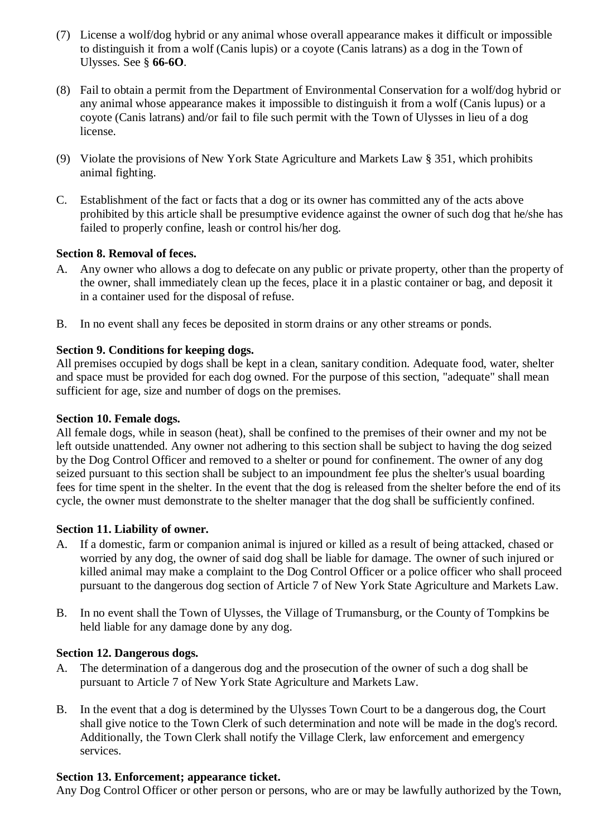- (7) License a wolf/dog hybrid or any animal whose overall appearance makes it difficult or impossible to distinguish it from a wolf (Canis lupis) or a coyote (Canis latrans) as a dog in the Town of Ulysses. See § **66-6O**.
- (8) Fail to obtain a permit from the Department of Environmental Conservation for a wolf/dog hybrid or any animal whose appearance makes it impossible to distinguish it from a wolf (Canis lupus) or a coyote (Canis latrans) and/or fail to file such permit with the Town of Ulysses in lieu of a dog license.
- (9) Violate the provisions of New York State Agriculture and Markets Law § 351, which prohibits animal fighting.
- C. Establishment of the fact or facts that a dog or its owner has committed any of the acts above prohibited by this article shall be presumptive evidence against the owner of such dog that he/she has failed to properly confine, leash or control his/her dog.

# **Section 8. Removal of feces.**

- A. Any owner who allows a dog to defecate on any public or private property, other than the property of the owner, shall immediately clean up the feces, place it in a plastic container or bag, and deposit it in a container used for the disposal of refuse.
- B. In no event shall any feces be deposited in storm drains or any other streams or ponds.

# **Section 9. Conditions for keeping dogs.**

All premises occupied by dogs shall be kept in a clean, sanitary condition. Adequate food, water, shelter and space must be provided for each dog owned. For the purpose of this section, "adequate" shall mean sufficient for age, size and number of dogs on the premises.

# **Section 10. Female dogs.**

All female dogs, while in season (heat), shall be confined to the premises of their owner and my not be left outside unattended. Any owner not adhering to this section shall be subject to having the dog seized by the Dog Control Officer and removed to a shelter or pound for confinement. The owner of any dog seized pursuant to this section shall be subject to an impoundment fee plus the shelter's usual boarding fees for time spent in the shelter. In the event that the dog is released from the shelter before the end of its cycle, the owner must demonstrate to the shelter manager that the dog shall be sufficiently confined.

# **Section 11. Liability of owner.**

- A. If a domestic, farm or companion animal is injured or killed as a result of being attacked, chased or worried by any dog, the owner of said dog shall be liable for damage. The owner of such injured or killed animal may make a complaint to the Dog Control Officer or a police officer who shall proceed pursuant to the dangerous dog section of Article 7 of New York State Agriculture and Markets Law.
- B. In no event shall the Town of Ulysses, the Village of Trumansburg, or the County of Tompkins be held liable for any damage done by any dog.

# **Section 12. Dangerous dogs.**

- A. The determination of a dangerous dog and the prosecution of the owner of such a dog shall be pursuant to Article 7 of New York State Agriculture and Markets Law.
- B. In the event that a dog is determined by the Ulysses Town Court to be a dangerous dog, the Court shall give notice to the Town Clerk of such determination and note will be made in the dog's record. Additionally, the Town Clerk shall notify the Village Clerk, law enforcement and emergency services.

# **Section 13. Enforcement; appearance ticket.**

Any Dog Control Officer or other person or persons, who are or may be lawfully authorized by the Town,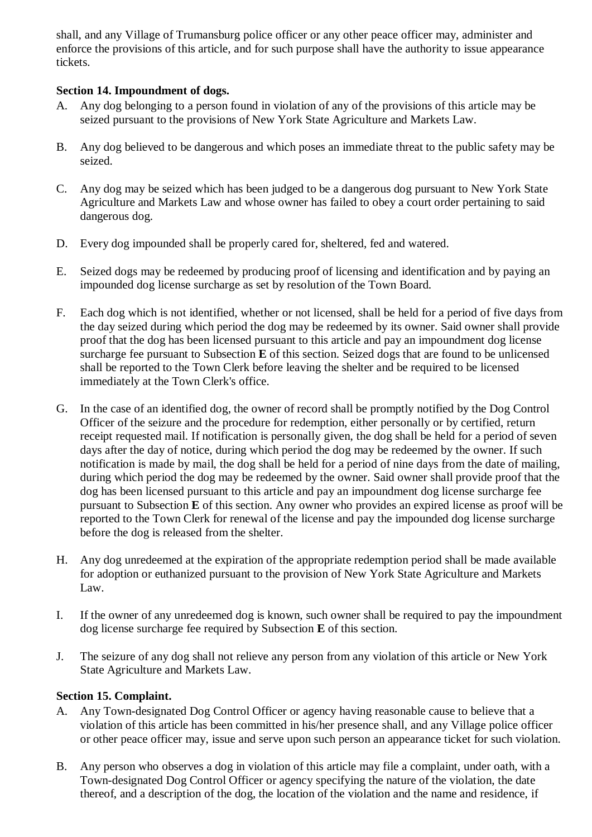shall, and any Village of Trumansburg police officer or any other peace officer may, administer and enforce the provisions of this article, and for such purpose shall have the authority to issue appearance tickets.

# **Section 14. Impoundment of dogs.**

- A. Any dog belonging to a person found in violation of any of the provisions of this article may be seized pursuant to the provisions of New York State Agriculture and Markets Law.
- B. Any dog believed to be dangerous and which poses an immediate threat to the public safety may be seized.
- C. Any dog may be seized which has been judged to be a dangerous dog pursuant to New York State Agriculture and Markets Law and whose owner has failed to obey a court order pertaining to said dangerous dog.
- D. Every dog impounded shall be properly cared for, sheltered, fed and watered.
- E. Seized dogs may be redeemed by producing proof of licensing and identification and by paying an impounded dog license surcharge as set by resolution of the Town Board.
- F. Each dog which is not identified, whether or not licensed, shall be held for a period of five days from the day seized during which period the dog may be redeemed by its owner. Said owner shall provide proof that the dog has been licensed pursuant to this article and pay an impoundment dog license surcharge fee pursuant to Subsection **E** of this section. Seized dogs that are found to be unlicensed shall be reported to the Town Clerk before leaving the shelter and be required to be licensed immediately at the Town Clerk's office.
- G. In the case of an identified dog, the owner of record shall be promptly notified by the Dog Control Officer of the seizure and the procedure for redemption, either personally or by certified, return receipt requested mail. If notification is personally given, the dog shall be held for a period of seven days after the day of notice, during which period the dog may be redeemed by the owner. If such notification is made by mail, the dog shall be held for a period of nine days from the date of mailing, during which period the dog may be redeemed by the owner. Said owner shall provide proof that the dog has been licensed pursuant to this article and pay an impoundment dog license surcharge fee pursuant to Subsection **E** of this section. Any owner who provides an expired license as proof will be reported to the Town Clerk for renewal of the license and pay the impounded dog license surcharge before the dog is released from the shelter.
- H. Any dog unredeemed at the expiration of the appropriate redemption period shall be made available for adoption or euthanized pursuant to the provision of New York State Agriculture and Markets Law.
- I. If the owner of any unredeemed dog is known, such owner shall be required to pay the impoundment dog license surcharge fee required by Subsection **E** of this section.
- J. The seizure of any dog shall not relieve any person from any violation of this article or New York State Agriculture and Markets Law.

# **Section 15. Complaint.**

- A. Any Town-designated Dog Control Officer or agency having reasonable cause to believe that a violation of this article has been committed in his/her presence shall, and any Village police officer or other peace officer may, issue and serve upon such person an appearance ticket for such violation.
- B. Any person who observes a dog in violation of this article may file a complaint, under oath, with a Town-designated Dog Control Officer or agency specifying the nature of the violation, the date thereof, and a description of the dog, the location of the violation and the name and residence, if